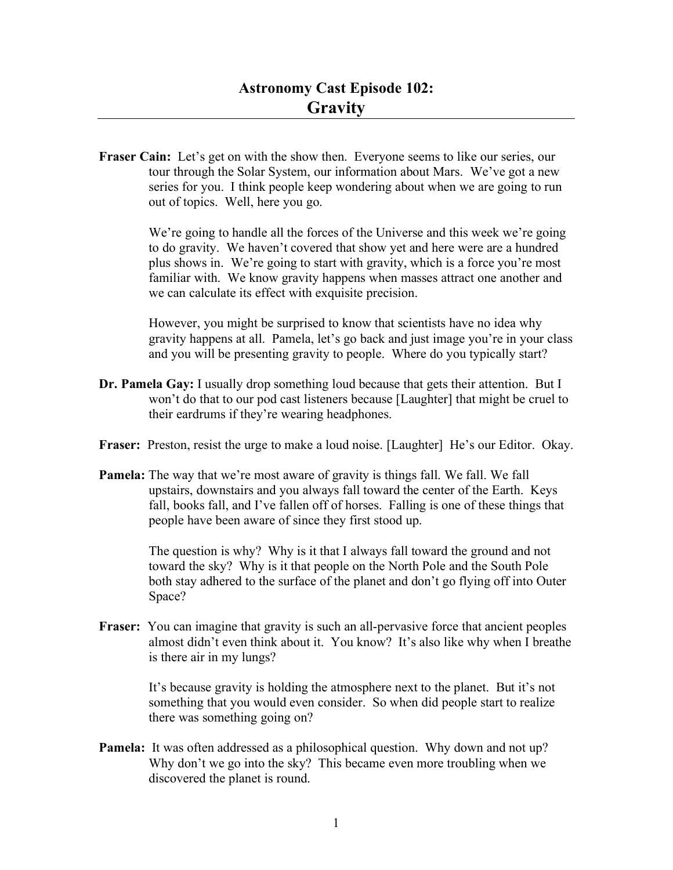Fraser Cain: Let's get on with the show then. Everyone seems to like our series, our tour through the Solar System, our information about Mars. We've got a new series for you. I think people keep wondering about when we are going to run out of topics. Well, here you go.

> We're going to handle all the forces of the Universe and this week we're going to do gravity. We haven't covered that show yet and here were are a hundred plus shows in. We're going to start with gravity, which is a force you're most familiar with. We know gravity happens when masses attract one another and we can calculate its effect with exquisite precision.

However, you might be surprised to know that scientists have no idea why gravity happens at all. Pamela, let's go back and just image you're in your class and you will be presenting gravity to people. Where do you typically start?

- **Dr. Pamela Gay:** I usually drop something loud because that gets their attention. But I won't do that to our pod cast listeners because [Laughter] that might be cruel to their eardrums if they're wearing headphones.
- **Fraser:** Preston, resist the urge to make a loud noise. [Laughter] He's our Editor. Okay.
- **Pamela:** The way that we're most aware of gravity is things fall. We fall. We fall upstairs, downstairs and you always fall toward the center of the Earth. Keys fall, books fall, and I've fallen off of horses. Falling is one of these things that people have been aware of since they first stood up.

The question is why? Why is it that I always fall toward the ground and not toward the sky? Why is it that people on the North Pole and the South Pole both stay adhered to the surface of the planet and don't go flying off into Outer Space?

**Fraser:** You can imagine that gravity is such an all-pervasive force that ancient peoples almost didn't even think about it. You know? It's also like why when I breathe is there air in my lungs?

> It's because gravity is holding the atmosphere next to the planet. But it's not something that you would even consider. So when did people start to realize there was something going on?

**Pamela:** It was often addressed as a philosophical question. Why down and not up? Why don't we go into the sky? This became even more troubling when we discovered the planet is round.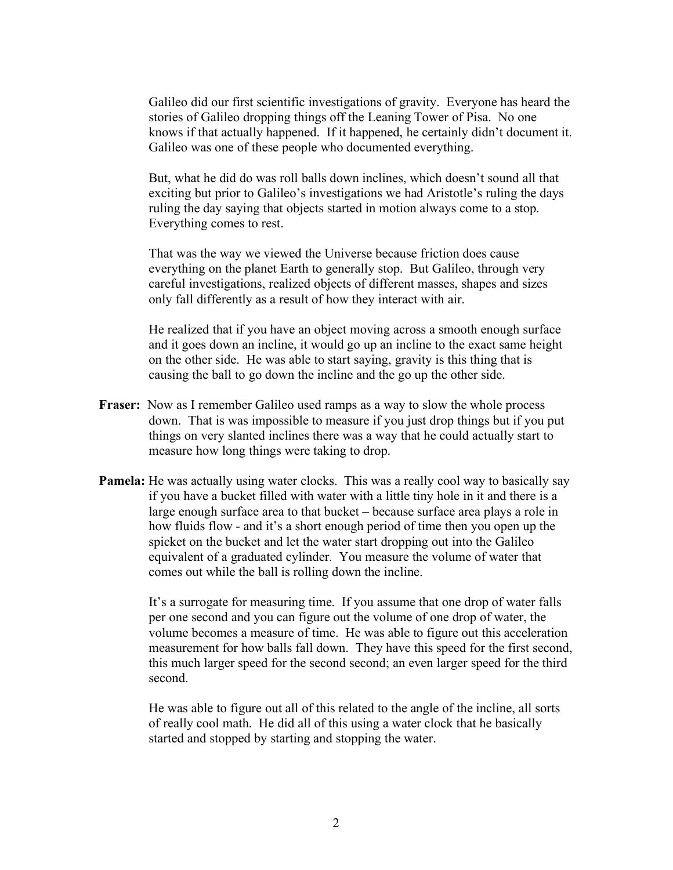Galileo did our first scientific investigations of gravity. Everyone has heard the stories of Galileo dropping things off the Leaning Tower of Pisa. No one knows if that actually happened. If it happened, he certainly didn't document it. Galileo was one of these people who documented everything.

But, what he did do was roll balls down inclines, which doesn't sound all that exciting but prior to Galileo's investigations we had Aristotle's ruling the days ruling the day saying that objects started in motion always come to a stop. Everything comes to rest.

That was the way we viewed the Universe because friction does cause everything on the planet Earth to generally stop. But Galileo, through very careful investigations, realized objects of different masses, shapes and sizes only fall differently as a result of how they interact with air.

He realized that if you have an object moving across a smooth enough surface and it goes down an incline, it would go up an incline to the exact same height on the other side. He was able to start saying, gravity is this thing that is causing the ball to go down the incline and the go up the other side.

- **Fraser:** Now as I remember Galileo used ramps as a way to slow the whole process down. That is was impossible to measure if you just drop things but if you put things on very slanted inclines there was a way that he could actually start to measure how long things were taking to drop.
- **Pamela:** He was actually using water clocks. This was a really cool way to basically say if you have a bucket filled with water with a little tiny hole in it and there is a large enough surface area to that bucket – because surface area plays a role in how fluids flow - and it's a short enough period of time then you open up the spicket on the bucket and let the water start dropping out into the Galileo equivalent of a graduated cylinder. You measure the volume of water that comes out while the ball is rolling down the incline.

It's a surrogate for measuring time. If you assume that one drop of water falls per one second and you can figure out the volume of one drop of water, the volume becomes a measure of time. He was able to figure out this acceleration measurement for how balls fall down. They have this speed for the first second, this much larger speed for the second second; an even larger speed for the third second.

He was able to figure out all of this related to the angle of the incline, all sorts of really cool math. He did all of this using a water clock that he basically started and stopped by starting and stopping the water.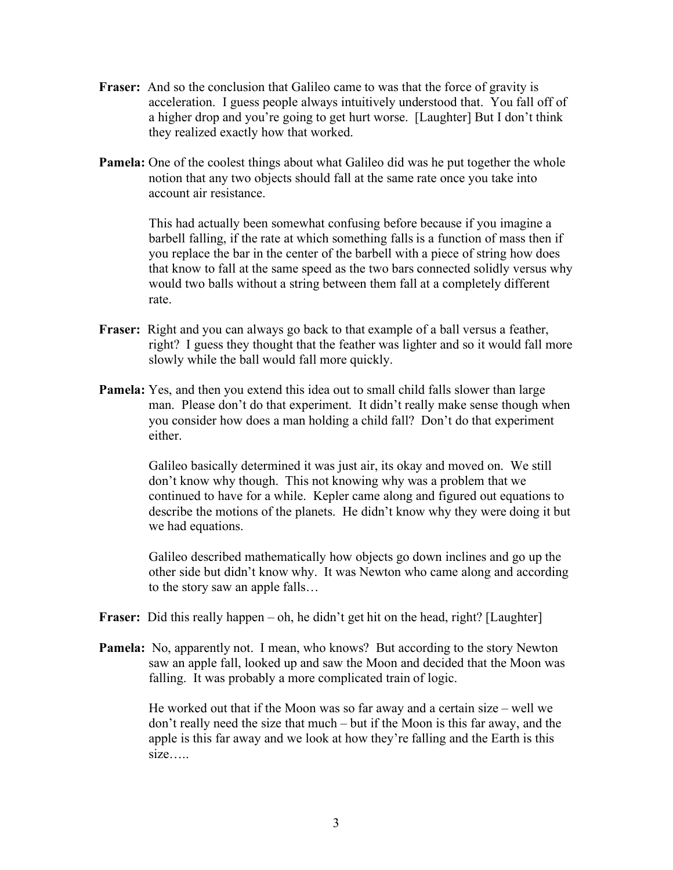- **Fraser:** And so the conclusion that Galileo came to was that the force of gravity is acceleration. I guess people always intuitively understood that. You fall off of a higher drop and you're going to get hurt worse. [Laughter] But I don't think they realized exactly how that worked.
- **Pamela:** One of the coolest things about what Galileo did was he put together the whole notion that any two objects should fall at the same rate once you take into account air resistance.

This had actually been somewhat confusing before because if you imagine a barbell falling, if the rate at which something falls is a function of mass then if you replace the bar in the center of the barbell with a piece of string how does that know to fall at the same speed as the two bars connected solidly versus why would two balls without a string between them fall at a completely different rate.

- **Fraser:** Right and you can always go back to that example of a ball versus a feather, right? I guess they thought that the feather was lighter and so it would fall more slowly while the ball would fall more quickly.
- **Pamela:** Yes, and then you extend this idea out to small child falls slower than large man. Please don't do that experiment. It didn't really make sense though when you consider how does a man holding a child fall? Don't do that experiment either.

Galileo basically determined it was just air, its okay and moved on. We still don't know why though. This not knowing why was a problem that we continued to have for a while. Kepler came along and figured out equations to describe the motions of the planets. He didn't know why they were doing it but we had equations.

Galileo described mathematically how objects go down inclines and go up the other side but didn't know why. It was Newton who came along and according to the story saw an apple falls…

- **Fraser:** Did this really happen oh, he didn't get hit on the head, right? [Laughter]
- **Pamela:** No, apparently not. I mean, who knows? But according to the story Newton saw an apple fall, looked up and saw the Moon and decided that the Moon was falling. It was probably a more complicated train of logic.

He worked out that if the Moon was so far away and a certain size – well we don't really need the size that much – but if the Moon is this far away, and the apple is this far away and we look at how they're falling and the Earth is this size…..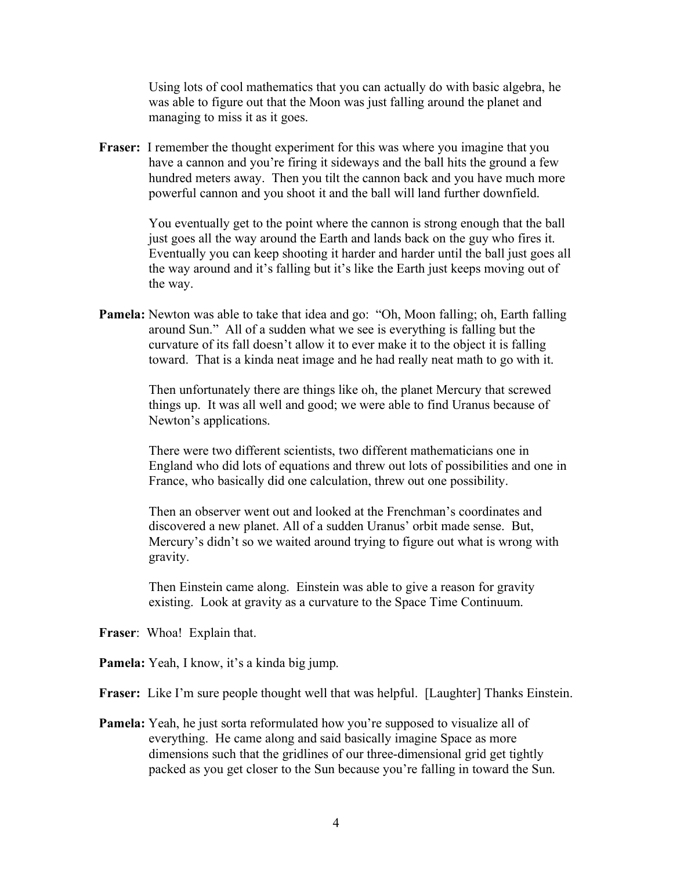Using lots of cool mathematics that you can actually do with basic algebra, he was able to figure out that the Moon was just falling around the planet and managing to miss it as it goes.

**Fraser:** I remember the thought experiment for this was where you imagine that you have a cannon and you're firing it sideways and the ball hits the ground a few hundred meters away. Then you tilt the cannon back and you have much more powerful cannon and you shoot it and the ball will land further downfield.

> You eventually get to the point where the cannon is strong enough that the ball just goes all the way around the Earth and lands back on the guy who fires it. Eventually you can keep shooting it harder and harder until the ball just goes all the way around and it's falling but it's like the Earth just keeps moving out of the way.

**Pamela:** Newton was able to take that idea and go: "Oh, Moon falling; oh, Earth falling around Sun." All of a sudden what we see is everything is falling but the curvature of its fall doesn't allow it to ever make it to the object it is falling toward. That is a kinda neat image and he had really neat math to go with it.

> Then unfortunately there are things like oh, the planet Mercury that screwed things up. It was all well and good; we were able to find Uranus because of Newton's applications.

There were two different scientists, two different mathematicians one in England who did lots of equations and threw out lots of possibilities and one in France, who basically did one calculation, threw out one possibility.

Then an observer went out and looked at the Frenchman's coordinates and discovered a new planet. All of a sudden Uranus' orbit made sense. But, Mercury's didn't so we waited around trying to figure out what is wrong with gravity.

Then Einstein came along. Einstein was able to give a reason for gravity existing. Look at gravity as a curvature to the Space Time Continuum.

**Fraser**: Whoa! Explain that.

**Pamela:** Yeah, I know, it's a kinda big jump.

**Fraser:** Like I'm sure people thought well that was helpful. [Laughter] Thanks Einstein.

**Pamela:** Yeah, he just sorta reformulated how you're supposed to visualize all of everything. He came along and said basically imagine Space as more dimensions such that the gridlines of our three-dimensional grid get tightly packed as you get closer to the Sun because you're falling in toward the Sun.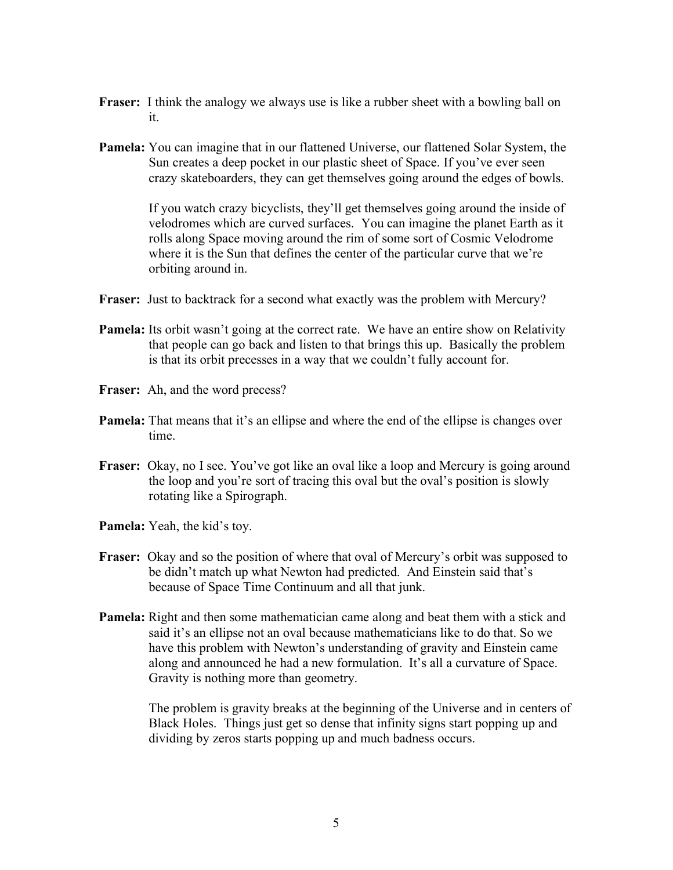- **Fraser:** I think the analogy we always use is like a rubber sheet with a bowling ball on it.
- **Pamela:** You can imagine that in our flattened Universe, our flattened Solar System, the Sun creates a deep pocket in our plastic sheet of Space. If you've ever seen crazy skateboarders, they can get themselves going around the edges of bowls.

If you watch crazy bicyclists, they'll get themselves going around the inside of velodromes which are curved surfaces. You can imagine the planet Earth as it rolls along Space moving around the rim of some sort of Cosmic Velodrome where it is the Sun that defines the center of the particular curve that we're orbiting around in.

- **Fraser:** Just to backtrack for a second what exactly was the problem with Mercury?
- **Pamela:** Its orbit wasn't going at the correct rate. We have an entire show on Relativity that people can go back and listen to that brings this up. Basically the problem is that its orbit precesses in a way that we couldn't fully account for.
- **Fraser:** Ah, and the word precess?
- **Pamela:** That means that it's an ellipse and where the end of the ellipse is changes over time.
- Fraser: Okay, no I see. You've got like an oval like a loop and Mercury is going around the loop and you're sort of tracing this oval but the oval's position is slowly rotating like a Spirograph.
- **Pamela:** Yeah, the kid's toy.
- **Fraser:** Okay and so the position of where that oval of Mercury's orbit was supposed to be didn't match up what Newton had predicted. And Einstein said that's because of Space Time Continuum and all that junk.
- **Pamela:** Right and then some mathematician came along and beat them with a stick and said it's an ellipse not an oval because mathematicians like to do that. So we have this problem with Newton's understanding of gravity and Einstein came along and announced he had a new formulation. It's all a curvature of Space. Gravity is nothing more than geometry.

The problem is gravity breaks at the beginning of the Universe and in centers of Black Holes. Things just get so dense that infinity signs start popping up and dividing by zeros starts popping up and much badness occurs.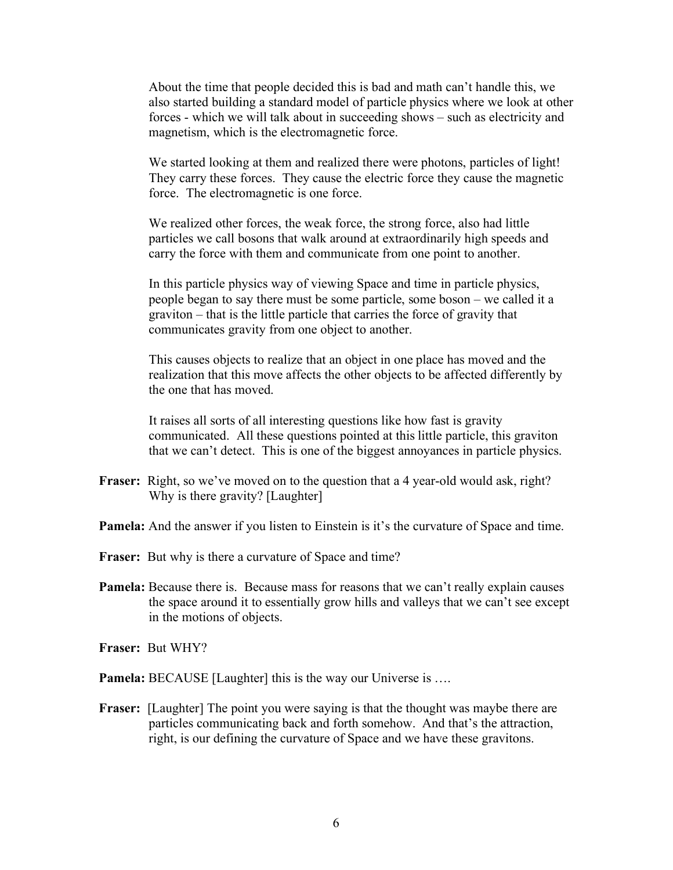About the time that people decided this is bad and math can't handle this, we also started building a standard model of particle physics where we look at other forces - which we will talk about in succeeding shows – such as electricity and magnetism, which is the electromagnetic force.

We started looking at them and realized there were photons, particles of light! They carry these forces. They cause the electric force they cause the magnetic force. The electromagnetic is one force.

We realized other forces, the weak force, the strong force, also had little particles we call bosons that walk around at extraordinarily high speeds and carry the force with them and communicate from one point to another.

In this particle physics way of viewing Space and time in particle physics, people began to say there must be some particle, some boson – we called it a graviton – that is the little particle that carries the force of gravity that communicates gravity from one object to another.

This causes objects to realize that an object in one place has moved and the realization that this move affects the other objects to be affected differently by the one that has moved.

It raises all sorts of all interesting questions like how fast is gravity communicated. All these questions pointed at this little particle, this graviton that we can't detect. This is one of the biggest annoyances in particle physics.

- Fraser: Right, so we've moved on to the question that a 4 year-old would ask, right? Why is there gravity? [Laughter]
- **Pamela:** And the answer if you listen to Einstein is it's the curvature of Space and time.
- **Fraser:** But why is there a curvature of Space and time?
- **Pamela:** Because there is. Because mass for reasons that we can't really explain causes the space around it to essentially grow hills and valleys that we can't see except in the motions of objects.

**Fraser:** But WHY?

**Pamela:** BECAUSE [Laughter] this is the way our Universe is ....

**Fraser:** [Laughter] The point you were saying is that the thought was maybe there are particles communicating back and forth somehow. And that's the attraction, right, is our defining the curvature of Space and we have these gravitons.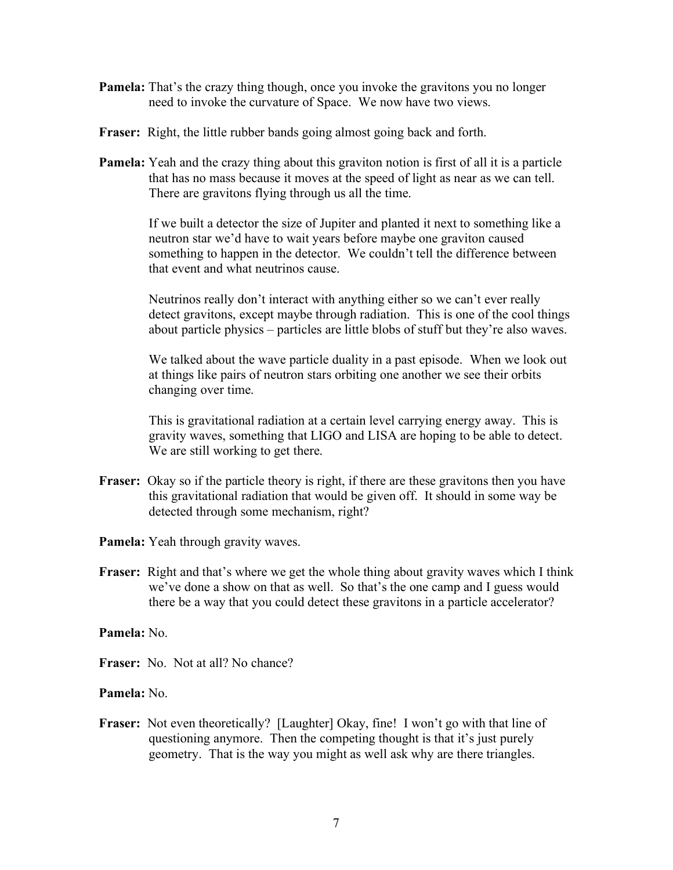- **Pamela:** That's the crazy thing though, once you invoke the gravitons you no longer need to invoke the curvature of Space. We now have two views.
- **Fraser:** Right, the little rubber bands going almost going back and forth.
- **Pamela:** Yeah and the crazy thing about this graviton notion is first of all it is a particle that has no mass because it moves at the speed of light as near as we can tell. There are gravitons flying through us all the time.

If we built a detector the size of Jupiter and planted it next to something like a neutron star we'd have to wait years before maybe one graviton caused something to happen in the detector. We couldn't tell the difference between that event and what neutrinos cause.

Neutrinos really don't interact with anything either so we can't ever really detect gravitons, except maybe through radiation. This is one of the cool things about particle physics – particles are little blobs of stuff but they're also waves.

We talked about the wave particle duality in a past episode. When we look out at things like pairs of neutron stars orbiting one another we see their orbits changing over time.

This is gravitational radiation at a certain level carrying energy away. This is gravity waves, something that LIGO and LISA are hoping to be able to detect. We are still working to get there.

- **Fraser:** Okay so if the particle theory is right, if there are these gravitons then you have this gravitational radiation that would be given off. It should in some way be detected through some mechanism, right?
- **Pamela:** Yeah through gravity waves.
- **Fraser:** Right and that's where we get the whole thing about gravity waves which I think we've done a show on that as well. So that's the one camp and I guess would there be a way that you could detect these gravitons in a particle accelerator?

**Pamela:** No.

**Fraser:** No. Not at all? No chance?

**Pamela:** No.

**Fraser:** Not even theoretically? [Laughter] Okay, fine! I won't go with that line of questioning anymore. Then the competing thought is that it's just purely geometry. That is the way you might as well ask why are there triangles.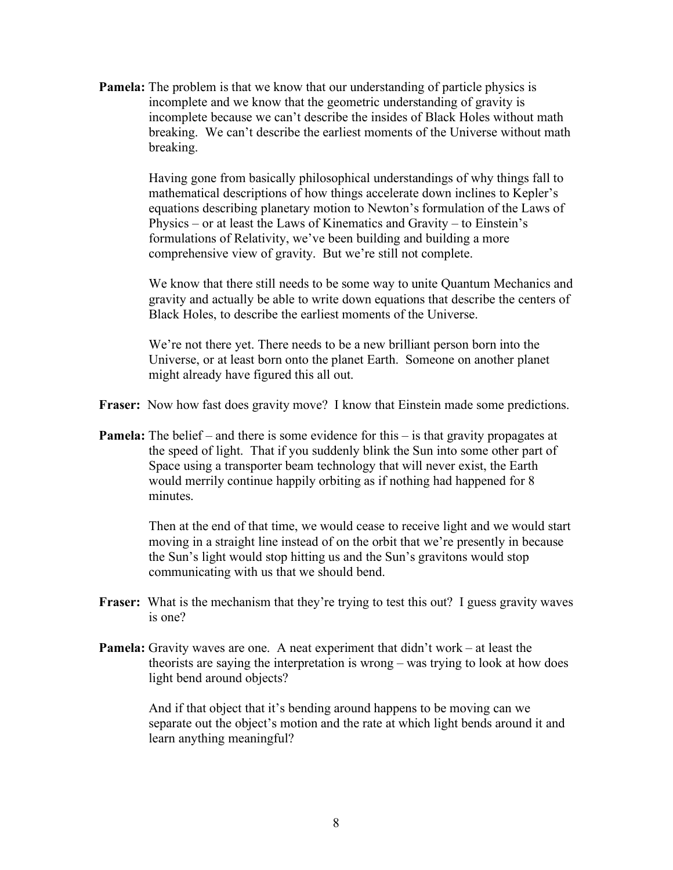**Pamela:** The problem is that we know that our understanding of particle physics is incomplete and we know that the geometric understanding of gravity is incomplete because we can't describe the insides of Black Holes without math breaking. We can't describe the earliest moments of the Universe without math breaking.

> Having gone from basically philosophical understandings of why things fall to mathematical descriptions of how things accelerate down inclines to Kepler's equations describing planetary motion to Newton's formulation of the Laws of Physics – or at least the Laws of Kinematics and Gravity – to Einstein's formulations of Relativity, we've been building and building a more comprehensive view of gravity. But we're still not complete.

We know that there still needs to be some way to unite Quantum Mechanics and gravity and actually be able to write down equations that describe the centers of Black Holes, to describe the earliest moments of the Universe.

We're not there yet. There needs to be a new brilliant person born into the Universe, or at least born onto the planet Earth. Someone on another planet might already have figured this all out.

**Fraser:** Now how fast does gravity move? I know that Einstein made some predictions.

**Pamela:** The belief – and there is some evidence for this – is that gravity propagates at the speed of light. That if you suddenly blink the Sun into some other part of Space using a transporter beam technology that will never exist, the Earth would merrily continue happily orbiting as if nothing had happened for 8 minutes.

> Then at the end of that time, we would cease to receive light and we would start moving in a straight line instead of on the orbit that we're presently in because the Sun's light would stop hitting us and the Sun's gravitons would stop communicating with us that we should bend.

- **Fraser:** What is the mechanism that they're trying to test this out? I guess gravity waves is one?
- **Pamela:** Gravity waves are one. A neat experiment that didn't work at least the theorists are saying the interpretation is wrong – was trying to look at how does light bend around objects?

And if that object that it's bending around happens to be moving can we separate out the object's motion and the rate at which light bends around it and learn anything meaningful?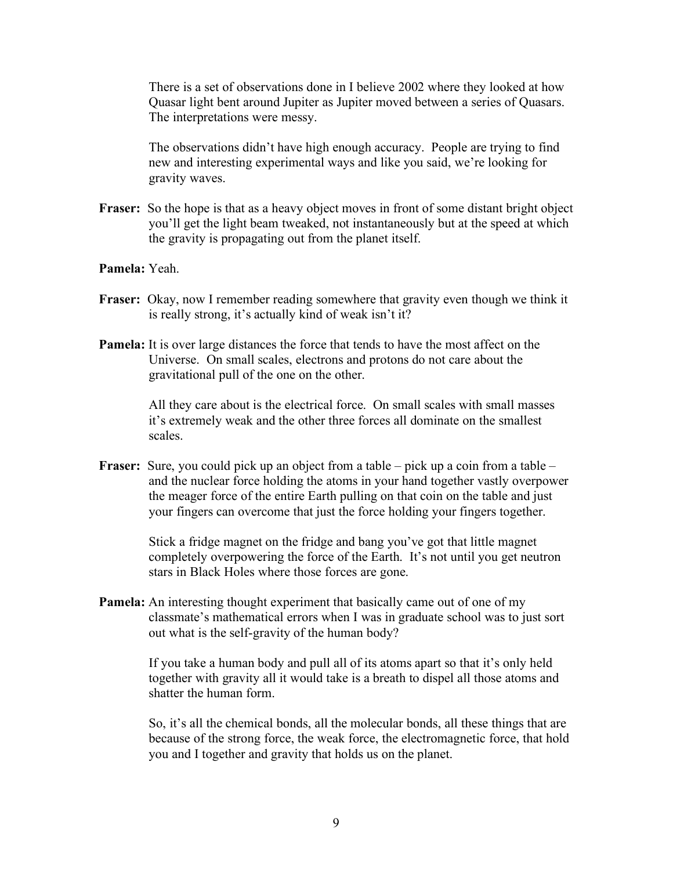There is a set of observations done in I believe 2002 where they looked at how Quasar light bent around Jupiter as Jupiter moved between a series of Quasars. The interpretations were messy.

The observations didn't have high enough accuracy. People are trying to find new and interesting experimental ways and like you said, we're looking for gravity waves.

- **Fraser:** So the hope is that as a heavy object moves in front of some distant bright object you'll get the light beam tweaked, not instantaneously but at the speed at which the gravity is propagating out from the planet itself.
- **Pamela:** Yeah.
- **Fraser:** Okay, now I remember reading somewhere that gravity even though we think it is really strong, it's actually kind of weak isn't it?
- **Pamela:** It is over large distances the force that tends to have the most affect on the Universe. On small scales, electrons and protons do not care about the gravitational pull of the one on the other.

All they care about is the electrical force. On small scales with small masses it's extremely weak and the other three forces all dominate on the smallest scales.

**Fraser:** Sure, you could pick up an object from a table – pick up a coin from a table – and the nuclear force holding the atoms in your hand together vastly overpower the meager force of the entire Earth pulling on that coin on the table and just your fingers can overcome that just the force holding your fingers together.

> Stick a fridge magnet on the fridge and bang you've got that little magnet completely overpowering the force of the Earth. It's not until you get neutron stars in Black Holes where those forces are gone.

**Pamela:** An interesting thought experiment that basically came out of one of my classmate's mathematical errors when I was in graduate school was to just sort out what is the self-gravity of the human body?

> If you take a human body and pull all of its atoms apart so that it's only held together with gravity all it would take is a breath to dispel all those atoms and shatter the human form.

So, it's all the chemical bonds, all the molecular bonds, all these things that are because of the strong force, the weak force, the electromagnetic force, that hold you and I together and gravity that holds us on the planet.